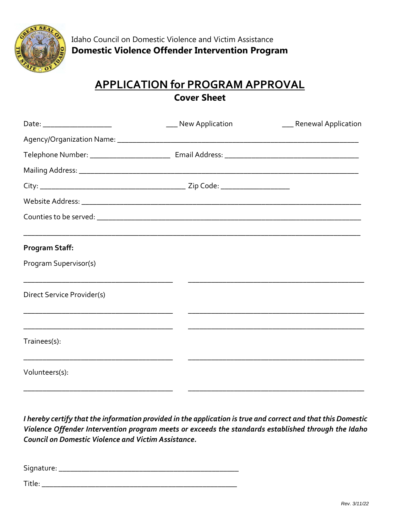

## **APPLICATION for PROGRAM APPROVAL Cover Sheet**

| Date: ______________________ | ___ New Application | ___ Renewal Application |
|------------------------------|---------------------|-------------------------|
|                              |                     |                         |
|                              |                     |                         |
|                              |                     |                         |
|                              |                     |                         |
|                              |                     |                         |
|                              |                     |                         |
| Program Staff:               |                     |                         |
| Program Supervisor(s)        |                     |                         |
| Direct Service Provider(s)   |                     |                         |
|                              |                     |                         |
| Trainees(s):                 |                     |                         |
| Volunteers(s):               |                     |                         |

*I hereby certify that the information provided in the application is true and correct and that this Domestic Violence Offender Intervention program meets or exceeds the standards established through the Idaho Council on Domestic Violence and Victim Assistance.* 

Signature: \_\_\_\_\_\_\_\_\_\_\_\_\_\_\_\_\_\_\_\_\_\_\_\_\_\_\_\_\_\_\_\_\_\_\_\_\_\_\_\_\_\_\_\_\_\_\_

Title: \_\_\_\_\_\_\_\_\_\_\_\_\_\_\_\_\_\_\_\_\_\_\_\_\_\_\_\_\_\_\_\_\_\_\_\_\_\_\_\_\_\_\_\_\_\_\_\_\_\_\_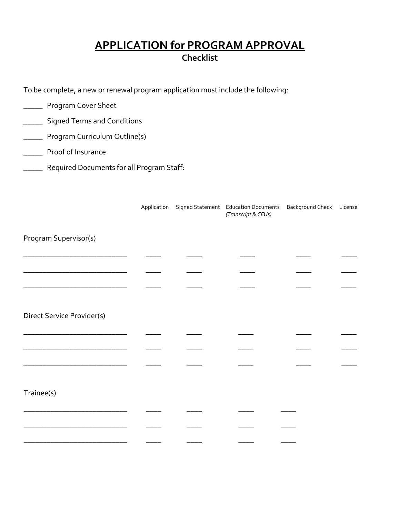### **APPLICATION for PROGRAM APPROVAL Checklist**

To be complete, a new or renewal program application must include the following:

| <b>Signed Terms and Conditions</b> |                                           |                                                                           |
|------------------------------------|-------------------------------------------|---------------------------------------------------------------------------|
| Program Curriculum Outline(s)      |                                           |                                                                           |
|                                    |                                           |                                                                           |
|                                    |                                           |                                                                           |
|                                    |                                           |                                                                           |
|                                    | (Transcript & CEUs)                       |                                                                           |
|                                    |                                           |                                                                           |
|                                    |                                           |                                                                           |
|                                    |                                           |                                                                           |
|                                    |                                           |                                                                           |
|                                    |                                           |                                                                           |
|                                    |                                           |                                                                           |
|                                    |                                           |                                                                           |
|                                    |                                           |                                                                           |
|                                    |                                           |                                                                           |
|                                    |                                           |                                                                           |
|                                    |                                           |                                                                           |
|                                    |                                           |                                                                           |
|                                    | Required Documents for all Program Staff: | Application Signed Statement Education Documents Background Check License |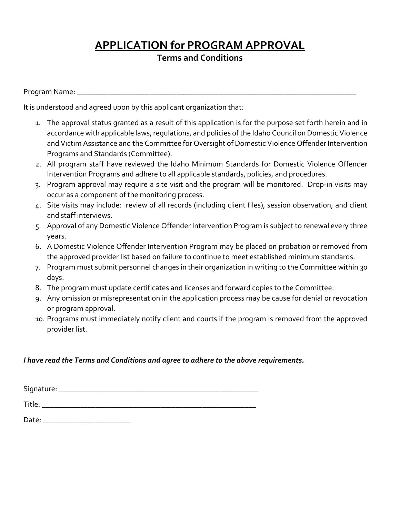**Terms and Conditions** 

Program Name: \_\_\_\_\_\_\_\_\_\_\_\_\_\_\_\_\_\_\_\_\_\_\_\_\_\_\_\_\_\_\_\_\_\_\_\_\_\_\_\_\_\_\_\_\_\_\_\_\_\_\_\_\_\_\_\_\_\_\_\_\_\_\_\_\_\_\_\_\_\_\_\_\_

It is understood and agreed upon by this applicant organization that:

- 1. The approval status granted as a result of this application is for the purpose set forth herein and in accordance with applicable laws, regulations, and policies of the Idaho Council on Domestic Violence and Victim Assistance and the Committee for Oversight of Domestic Violence Offender Intervention Programs and Standards (Committee).
- 2. All program staff have reviewed the Idaho Minimum Standards for Domestic Violence Offender Intervention Programs and adhere to all applicable standards, policies, and procedures.
- 3. Program approval may require a site visit and the program will be monitored. Drop-in visits may occur as a component of the monitoring process.
- 4. Site visits may include: review of all records (including client files), session observation, and client and staff interviews.
- 5. Approval of any Domestic Violence Offender Intervention Program is subject to renewal every three years.
- 6. A Domestic Violence Offender Intervention Program may be placed on probation or removed from the approved provider list based on failure to continue to meet established minimum standards.
- 7. Program must submit personnel changes in their organization in writing to the Committee within 30 days.
- 8. The program must update certificates and licenses and forward copies to the Committee.
- 9. Any omission or misrepresentation in the application process may be cause for denial or revocation or program approval.
- 10. Programs must immediately notify client and courts if the program is removed from the approved provider list.

#### *I have read the Terms and Conditions and agree to adhere to the above requirements.*

Signature:  $\blacksquare$ 

Title: \_\_\_\_\_\_\_\_\_\_\_\_\_\_\_\_\_\_\_\_\_\_\_\_\_\_\_\_\_\_\_\_\_\_\_\_\_\_\_\_\_\_\_\_\_\_\_\_\_\_\_\_\_\_\_\_

Date: \_\_\_\_\_\_\_\_\_\_\_\_\_\_\_\_\_\_\_\_\_\_\_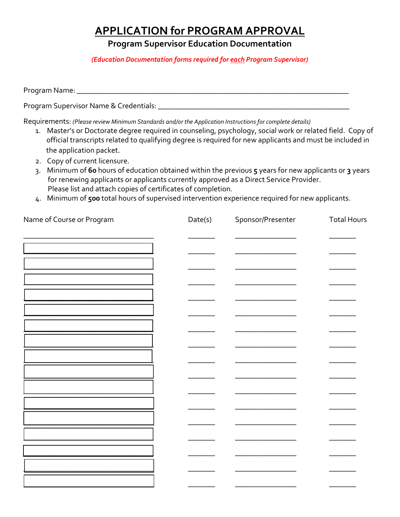**Program Supervisor Education Documentation** 

*(Education Documentation forms required for each Program Supervisor)* 

Program Name: \_\_\_\_\_\_\_\_\_\_\_\_\_\_\_\_\_\_\_\_\_\_\_\_\_\_\_\_\_\_\_\_\_\_\_\_\_\_\_\_\_\_\_\_\_\_\_\_\_\_\_\_\_\_\_\_\_\_\_\_\_\_\_\_\_\_\_\_\_\_\_

Program Supervisor Name & Credentials: \_\_\_\_\_\_\_\_\_\_\_\_\_\_\_\_\_\_\_\_\_\_\_\_\_\_\_\_\_\_\_\_\_\_\_\_\_\_\_\_\_\_\_\_\_\_\_\_\_\_

Requirements: *(Please review Minimum Standards and/or the Application Instructions for complete details)*

- 1. Master's or Doctorate degree required in counseling, psychology, social work or related field. Copy of official transcripts related to qualifying degree is required for new applicants and must be included in the application packet.
- 2. Copy of current licensure.
- 3. Minimum of **60** hours of education obtained within the previous **5** years for new applicants or **3** years for renewing applicants or applicants currently approved as a Direct Service Provider. Please list and attach copies of certificates of completion.
- 4. Minimum of **500** total hours of supervised intervention experience required for new applicants.

| Name of Course or Program | Date(s) | Sponsor/Presenter | <b>Total Hours</b> |
|---------------------------|---------|-------------------|--------------------|
|                           |         |                   |                    |
|                           |         |                   |                    |
|                           |         |                   |                    |
|                           |         |                   |                    |
|                           |         |                   |                    |
|                           |         |                   |                    |
|                           |         |                   |                    |
|                           |         |                   |                    |
|                           |         |                   |                    |
|                           |         |                   |                    |
|                           |         |                   |                    |
|                           |         |                   |                    |
|                           |         |                   |                    |
|                           |         |                   |                    |
|                           |         |                   |                    |
|                           |         |                   |                    |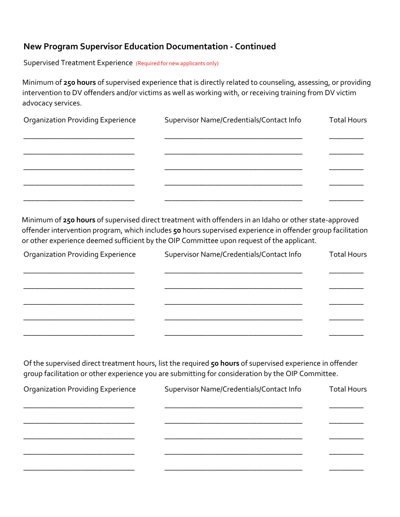### **New Program Supervisor Education Documentation - Continued**

Supervised Treatment Experience (Required for new applicants only)

Minimum of **250 hours** of supervised experience that is directly related to counseling, assessing, or providing intervention to DV offenders and/or victims as well as working with, or receiving training from DV victim advocacy services.

| <b>Organization Providing Experience</b> | Supervisor Name/Credentials/Contact Info | <b>Total Hours</b> |
|------------------------------------------|------------------------------------------|--------------------|
|                                          |                                          |                    |
|                                          |                                          |                    |
|                                          |                                          |                    |
|                                          |                                          |                    |
|                                          |                                          |                    |

Minimum of **250 hours** of supervised direct treatment with offenders in an Idaho or other state-approved offender intervention program, which includes **50** hours supervised experience in offender group facilitation or other experience deemed sufficient by the OIP Committee upon request of the applicant.

| <b>Organization Providing Experience</b> | Supervisor Name/Credentials/Contact Info | <b>Total Hours</b> |
|------------------------------------------|------------------------------------------|--------------------|
|                                          |                                          |                    |
|                                          |                                          |                    |
|                                          |                                          |                    |
|                                          |                                          |                    |
|                                          |                                          |                    |

Of the supervised direct treatment hours, list the required **50 hours** of supervised experience in offender group facilitation or other experience you are submitting for consideration by the OIP Committee.

| <b>Organization Providing Experience</b> | Supervisor Name/Credentials/Contact Info | <b>Total Hours</b> |
|------------------------------------------|------------------------------------------|--------------------|
|                                          |                                          |                    |
|                                          |                                          |                    |
|                                          |                                          |                    |
|                                          |                                          |                    |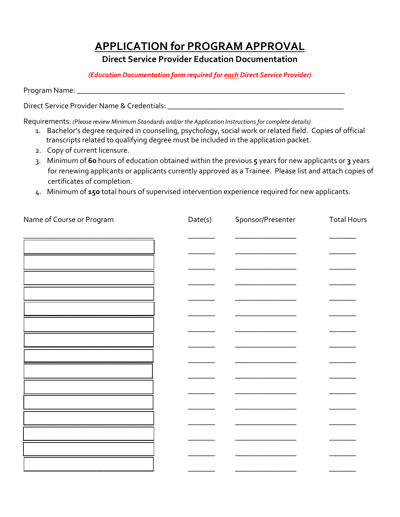**Direct Service Provider Education Documentation** 

*(Education Documentation form required for each Direct Service Provider)* 

Program Name:

Direct Service Provider Name & Credentials: \_\_\_\_\_\_\_\_\_\_\_\_\_\_\_\_\_\_\_\_\_\_\_\_\_\_\_\_\_\_\_\_\_\_\_\_\_\_\_\_\_\_\_\_\_\_

Requirements: *(Please review Minimum Standards and/or the Application Instructions for complete details)*

- 1. Bachelor's degree required in counseling, psychology, social work or related field. Copies of official transcripts related to qualifying degree must be included in the application packet.
- 2. Copy of current licensure.
- 3. Minimum of **60** hours of education obtained within the previous **5** years for new applicants or **3** years for renewing applicants or applicants currently approved as a Trainee. Please list and attach copies of certificates of completion.
- 4. Minimum of **150** total hours of supervised intervention experience required for new applicants.

| Date(s) | Sponsor/Presenter | <b>Total Hours</b> |
|---------|-------------------|--------------------|
|         |                   |                    |
|         |                   |                    |
|         |                   |                    |
|         |                   |                    |
|         |                   |                    |
|         |                   |                    |
|         |                   |                    |
|         |                   |                    |
|         |                   |                    |
|         |                   |                    |
|         |                   |                    |
|         |                   |                    |
|         |                   |                    |
|         |                   |                    |
|         |                   |                    |
|         |                   |                    |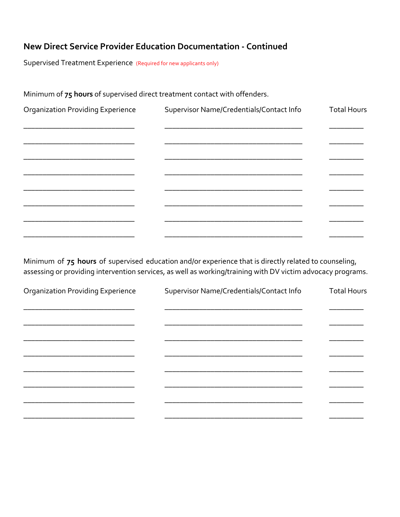### New Direct Service Provider Education Documentation - Continued

Supervised Treatment Experience (Required for new applicants only)

Minimum of 75 hours of supervised direct treatment contact with offenders.

| <b>Organization Providing Experience</b> | Supervisor Name/Credentials/Contact Info | <b>Total Hours</b> |
|------------------------------------------|------------------------------------------|--------------------|
|                                          |                                          |                    |
|                                          |                                          |                    |
|                                          |                                          |                    |
|                                          |                                          |                    |
|                                          |                                          |                    |
|                                          |                                          |                    |
|                                          |                                          |                    |

Minimum of 75 hours of supervised education and/or experience that is directly related to counseling, assessing or providing intervention services, as well as working/training with DV victim advocacy programs.

| <b>Organization Providing Experience</b> | Supervisor Name/Credentials/Contact Info | <b>Total Hours</b> |
|------------------------------------------|------------------------------------------|--------------------|
|                                          |                                          |                    |
|                                          |                                          |                    |
|                                          |                                          |                    |
|                                          |                                          |                    |
|                                          |                                          |                    |
|                                          |                                          |                    |
|                                          |                                          |                    |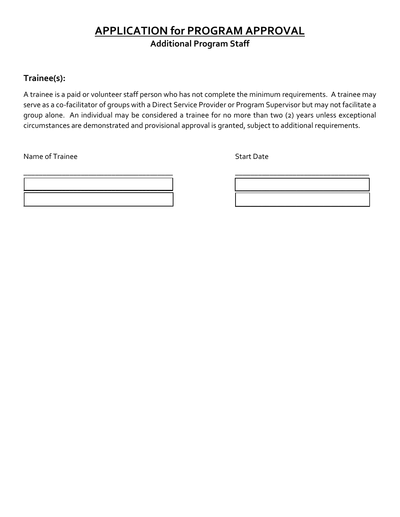### **APPLICATION for PROGRAM APPROVAL Additional Program Staff**

### **Trainee(s):**

A trainee is a paid or volunteer staff person who has not complete the minimum requirements. A trainee may serve as a co-facilitator of groups with a Direct Service Provider or Program Supervisor but may not facilitate a group alone. An individual may be considered a trainee for no more than two (2) years unless exceptional circumstances are demonstrated and provisional approval is granted, subject to additional requirements.

Name of Trainee Start Date Start Date Start Date Start Date